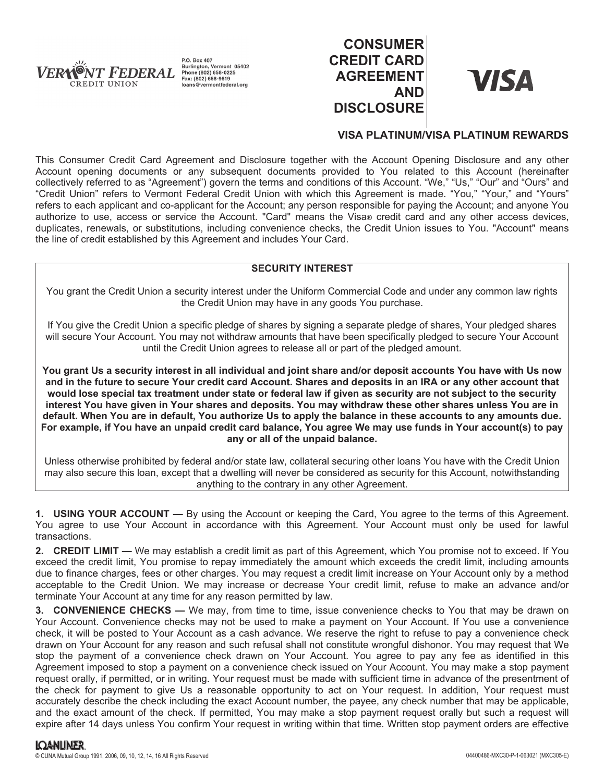

P.O. Box 407 Burlington, Vermont 05402 Phone (802) 658-0225<br>Fax: (802) 658-0225 loans@vermontfederal.org

# **CONSUMER CREDIT CARD AGREEMENT AND DISCLOSURE**



## **VISA PLATINUM/VISA PLATINUM REWARDS**

This Consumer Credit Card Agreement and Disclosure together with the Account Opening Disclosure and any other Account opening documents or any subsequent documents provided to You related to this Account (hereinafter collectively referred to as "Agreement") govern the terms and conditions of this Account. "We," "Us," "Our" and "Ours" and "Credit Union" refers to Vermont Federal Credit Union with which this Agreement is made. "You," "Your," and "Yours" refers to each applicant and co-applicant for the Account; any person responsible for paying the Account; and anyone You authorize to use, access or service the Account. "Card" means the Visa® credit card and any other access devices, duplicates, renewals, or substitutions, including convenience checks, the Credit Union issues to You. "Account" means the line of credit established by this Agreement and includes Your Card.

## **SECURITY INTEREST**

You grant the Credit Union a security interest under the Uniform Commercial Code and under any common law rights the Credit Union may have in any goods You purchase.

If You give the Credit Union a specific pledge of shares by signing a separate pledge of shares, Your pledged shares will secure Your Account. You may not withdraw amounts that have been specifically pledged to secure Your Account until the Credit Union agrees to release all or part of the pledged amount.

**You grant Us a security interest in all individual and joint share and/or deposit accounts You have with Us now and in the future to secure Your credit card Account. Shares and deposits in an IRA or any other account that would lose special tax treatment under state or federal law if given as security are not subject to the security interest You have given in Your shares and deposits. You may withdraw these other shares unless You are in default. When You are in default, You authorize Us to apply the balance in these accounts to any amounts due. For example, if You have an unpaid credit card balance, You agree We may use funds in Your account(s) to pay any or all of the unpaid balance.**

Unless otherwise prohibited by federal and/or state law, collateral securing other loans You have with the Credit Union may also secure this loan, except that a dwelling will never be considered as security for this Account, notwithstanding anything to the contrary in any other Agreement.

**1. USING YOUR ACCOUNT —** By using the Account or keeping the Card, You agree to the terms of this Agreement. You agree to use Your Account in accordance with this Agreement. Your Account must only be used for lawful transactions.

**2. CREDIT LIMIT —** We may establish a credit limit as part of this Agreement, which You promise not to exceed. If You exceed the credit limit, You promise to repay immediately the amount which exceeds the credit limit, including amounts due to finance charges, fees or other charges. You may request a credit limit increase on Your Account only by a method acceptable to the Credit Union. We may increase or decrease Your credit limit, refuse to make an advance and/or terminate Your Account at any time for any reason permitted by law.

**3. CONVENIENCE CHECKS —** We may, from time to time, issue convenience checks to You that may be drawn on Your Account. Convenience checks may not be used to make a payment on Your Account. If You use a convenience check, it will be posted to Your Account as a cash advance. We reserve the right to refuse to pay a convenience check drawn on Your Account for any reason and such refusal shall not constitute wrongful dishonor. You may request that We stop the payment of a convenience check drawn on Your Account. You agree to pay any fee as identified in this Agreement imposed to stop a payment on a convenience check issued on Your Account. You may make a stop payment request orally, if permitted, or in writing. Your request must be made with sufficient time in advance of the presentment of the check for payment to give Us a reasonable opportunity to act on Your request. In addition, Your request must accurately describe the check including the exact Account number, the payee, any check number that may be applicable, and the exact amount of the check. If permitted, You may make a stop payment request orally but such a request will expire after 14 days unless You confirm Your request in writing within that time. Written stop payment orders are effective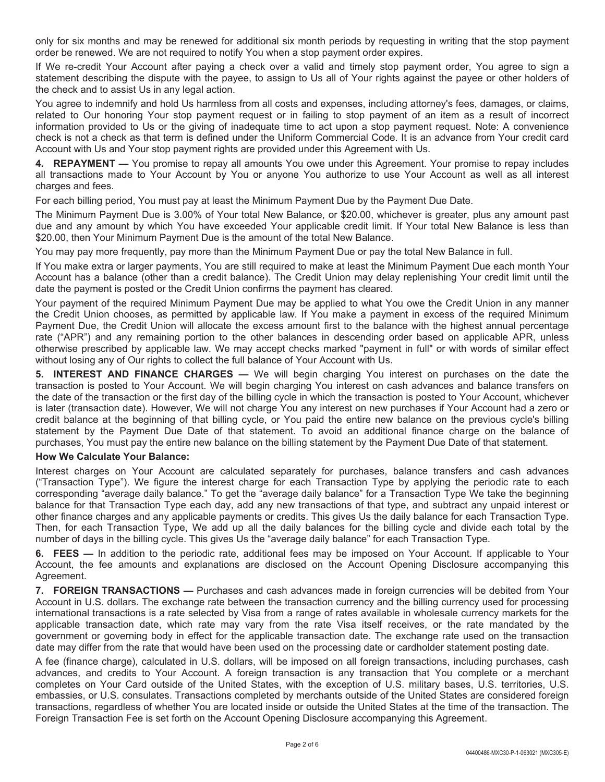only for six months and may be renewed for additional six month periods by requesting in writing that the stop payment order be renewed. We are not required to notify You when a stop payment order expires.

If We re-credit Your Account after paying a check over a valid and timely stop payment order, You agree to sign a statement describing the dispute with the payee, to assign to Us all of Your rights against the payee or other holders of the check and to assist Us in any legal action.

You agree to indemnify and hold Us harmless from all costs and expenses, including attorney's fees, damages, or claims, related to Our honoring Your stop payment request or in failing to stop payment of an item as a result of incorrect information provided to Us or the giving of inadequate time to act upon a stop payment request. Note: A convenience check is not a check as that term is defined under the Uniform Commercial Code. It is an advance from Your credit card Account with Us and Your stop payment rights are provided under this Agreement with Us.

**4. REPAYMENT —** You promise to repay all amounts You owe under this Agreement. Your promise to repay includes all transactions made to Your Account by You or anyone You authorize to use Your Account as well as all interest charges and fees.

For each billing period, You must pay at least the Minimum Payment Due by the Payment Due Date.

The Minimum Payment Due is 3.00% of Your total New Balance, or \$20.00, whichever is greater, plus any amount past due and any amount by which You have exceeded Your applicable credit limit. If Your total New Balance is less than \$20.00, then Your Minimum Payment Due is the amount of the total New Balance.

You may pay more frequently, pay more than the Minimum Payment Due or pay the total New Balance in full.

If You make extra or larger payments, You are still required to make at least the Minimum Payment Due each month Your Account has a balance (other than a credit balance). The Credit Union may delay replenishing Your credit limit until the date the payment is posted or the Credit Union confirms the payment has cleared.

Your payment of the required Minimum Payment Due may be applied to what You owe the Credit Union in any manner the Credit Union chooses, as permitted by applicable law. If You make a payment in excess of the required Minimum Payment Due, the Credit Union will allocate the excess amount first to the balance with the highest annual percentage rate ("APR") and any remaining portion to the other balances in descending order based on applicable APR, unless otherwise prescribed by applicable law. We may accept checks marked "payment in full" or with words of similar effect without losing any of Our rights to collect the full balance of Your Account with Us.

**5. INTEREST AND FINANCE CHARGES —** We will begin charging You interest on purchases on the date the transaction is posted to Your Account. We will begin charging You interest on cash advances and balance transfers on the date of the transaction or the first day of the billing cycle in which the transaction is posted to Your Account, whichever is later (transaction date). However, We will not charge You any interest on new purchases if Your Account had a zero or credit balance at the beginning of that billing cycle, or You paid the entire new balance on the previous cycle's billing statement by the Payment Due Date of that statement. To avoid an additional finance charge on the balance of purchases, You must pay the entire new balance on the billing statement by the Payment Due Date of that statement.

## **How We Calculate Your Balance:**

Interest charges on Your Account are calculated separately for purchases, balance transfers and cash advances ("Transaction Type"). We figure the interest charge for each Transaction Type by applying the periodic rate to each corresponding "average daily balance." To get the "average daily balance" for a Transaction Type We take the beginning balance for that Transaction Type each day, add any new transactions of that type, and subtract any unpaid interest or other finance charges and any applicable payments or credits. This gives Us the daily balance for each Transaction Type. Then, for each Transaction Type, We add up all the daily balances for the billing cycle and divide each total by the number of days in the billing cycle. This gives Us the "average daily balance" for each Transaction Type.

**6. FEES —** In addition to the periodic rate, additional fees may be imposed on Your Account. If applicable to Your Account, the fee amounts and explanations are disclosed on the Account Opening Disclosure accompanying this Agreement.

**7. FOREIGN TRANSACTIONS —** Purchases and cash advances made in foreign currencies will be debited from Your Account in U.S. dollars. The exchange rate between the transaction currency and the billing currency used for processing international transactions is a rate selected by Visa from a range of rates available in wholesale currency markets for the applicable transaction date, which rate may vary from the rate Visa itself receives, or the rate mandated by the government or governing body in effect for the applicable transaction date. The exchange rate used on the transaction date may differ from the rate that would have been used on the processing date or cardholder statement posting date.

A fee (finance charge), calculated in U.S. dollars, will be imposed on all foreign transactions, including purchases, cash advances, and credits to Your Account. A foreign transaction is any transaction that You complete or a merchant completes on Your Card outside of the United States, with the exception of U.S. military bases, U.S. territories, U.S. embassies, or U.S. consulates. Transactions completed by merchants outside of the United States are considered foreign transactions, regardless of whether You are located inside or outside the United States at the time of the transaction. The Foreign Transaction Fee is set forth on the Account Opening Disclosure accompanying this Agreement.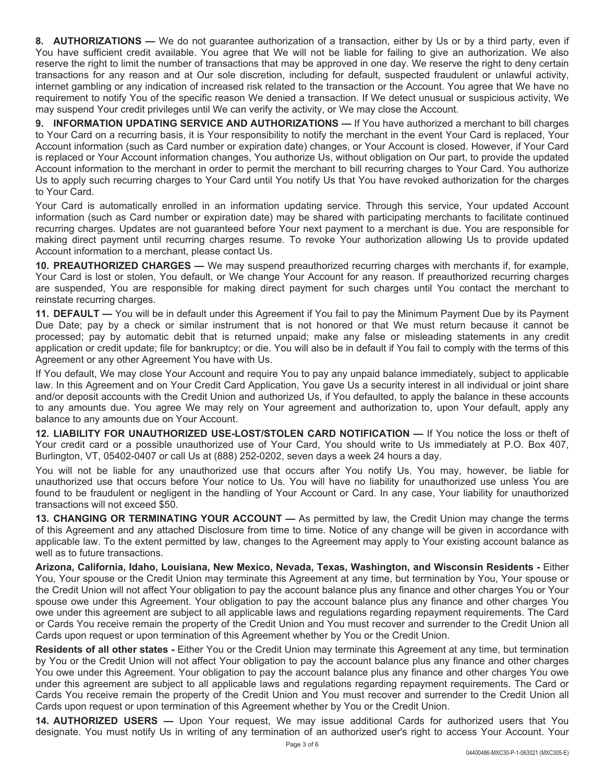**8. AUTHORIZATIONS —** We do not guarantee authorization of a transaction, either by Us or by a third party, even if You have sufficient credit available. You agree that We will not be liable for failing to give an authorization. We also reserve the right to limit the number of transactions that may be approved in one day. We reserve the right to deny certain transactions for any reason and at Our sole discretion, including for default, suspected fraudulent or unlawful activity, internet gambling or any indication of increased risk related to the transaction or the Account. You agree that We have no requirement to notify You of the specific reason We denied a transaction. If We detect unusual or suspicious activity, We may suspend Your credit privileges until We can verify the activity, or We may close the Account.

**9. INFORMATION UPDATING SERVICE AND AUTHORIZATIONS —** If You have authorized a merchant to bill charges to Your Card on a recurring basis, it is Your responsibility to notify the merchant in the event Your Card is replaced, Your Account information (such as Card number or expiration date) changes, or Your Account is closed. However, if Your Card is replaced or Your Account information changes, You authorize Us, without obligation on Our part, to provide the updated Account information to the merchant in order to permit the merchant to bill recurring charges to Your Card. You authorize Us to apply such recurring charges to Your Card until You notify Us that You have revoked authorization for the charges to Your Card.

Your Card is automatically enrolled in an information updating service. Through this service, Your updated Account information (such as Card number or expiration date) may be shared with participating merchants to facilitate continued recurring charges. Updates are not guaranteed before Your next payment to a merchant is due. You are responsible for making direct payment until recurring charges resume. To revoke Your authorization allowing Us to provide updated Account information to a merchant, please contact Us.

**10. PREAUTHORIZED CHARGES —** We may suspend preauthorized recurring charges with merchants if, for example, Your Card is lost or stolen, You default, or We change Your Account for any reason. If preauthorized recurring charges are suspended, You are responsible for making direct payment for such charges until You contact the merchant to reinstate recurring charges.

**11. DEFAULT —** You will be in default under this Agreement if You fail to pay the Minimum Payment Due by its Payment Due Date; pay by a check or similar instrument that is not honored or that We must return because it cannot be processed; pay by automatic debit that is returned unpaid; make any false or misleading statements in any credit application or credit update; file for bankruptcy; or die. You will also be in default if You fail to comply with the terms of this Agreement or any other Agreement You have with Us.

If You default, We may close Your Account and require You to pay any unpaid balance immediately, subject to applicable law. In this Agreement and on Your Credit Card Application, You gave Us a security interest in all individual or joint share and/or deposit accounts with the Credit Union and authorized Us, if You defaulted, to apply the balance in these accounts to any amounts due. You agree We may rely on Your agreement and authorization to, upon Your default, apply any balance to any amounts due on Your Account.

**12. LIABILITY FOR UNAUTHORIZED USE-LOST/STOLEN CARD NOTIFICATION —** If You notice the loss or theft of Your credit card or a possible unauthorized use of Your Card, You should write to Us immediately at P.O. Box 407, Burlington, VT, 05402-0407 or call Us at (888) 252-0202, seven days a week 24 hours a day.

You will not be liable for any unauthorized use that occurs after You notify Us. You may, however, be liable for unauthorized use that occurs before Your notice to Us. You will have no liability for unauthorized use unless You are found to be fraudulent or negligent in the handling of Your Account or Card. In any case, Your liability for unauthorized transactions will not exceed \$50.

**13. CHANGING OR TERMINATING YOUR ACCOUNT —** As permitted by law, the Credit Union may change the terms of this Agreement and any attached Disclosure from time to time. Notice of any change will be given in accordance with applicable law. To the extent permitted by law, changes to the Agreement may apply to Your existing account balance as well as to future transactions.

**Arizona, California, Idaho, Louisiana, New Mexico, Nevada, Texas, Washington, and Wisconsin Residents -** Either You, Your spouse or the Credit Union may terminate this Agreement at any time, but termination by You, Your spouse or the Credit Union will not affect Your obligation to pay the account balance plus any finance and other charges You or Your spouse owe under this Agreement. Your obligation to pay the account balance plus any finance and other charges You owe under this agreement are subject to all applicable laws and regulations regarding repayment requirements. The Card or Cards You receive remain the property of the Credit Union and You must recover and surrender to the Credit Union all Cards upon request or upon termination of this Agreement whether by You or the Credit Union.

**Residents of all other states -** Either You or the Credit Union may terminate this Agreement at any time, but termination by You or the Credit Union will not affect Your obligation to pay the account balance plus any finance and other charges You owe under this Agreement. Your obligation to pay the account balance plus any finance and other charges You owe under this agreement are subject to all applicable laws and regulations regarding repayment requirements. The Card or Cards You receive remain the property of the Credit Union and You must recover and surrender to the Credit Union all Cards upon request or upon termination of this Agreement whether by You or the Credit Union.

**14. AUTHORIZED USERS —** Upon Your request, We may issue additional Cards for authorized users that You designate. You must notify Us in writing of any termination of an authorized user's right to access Your Account. Your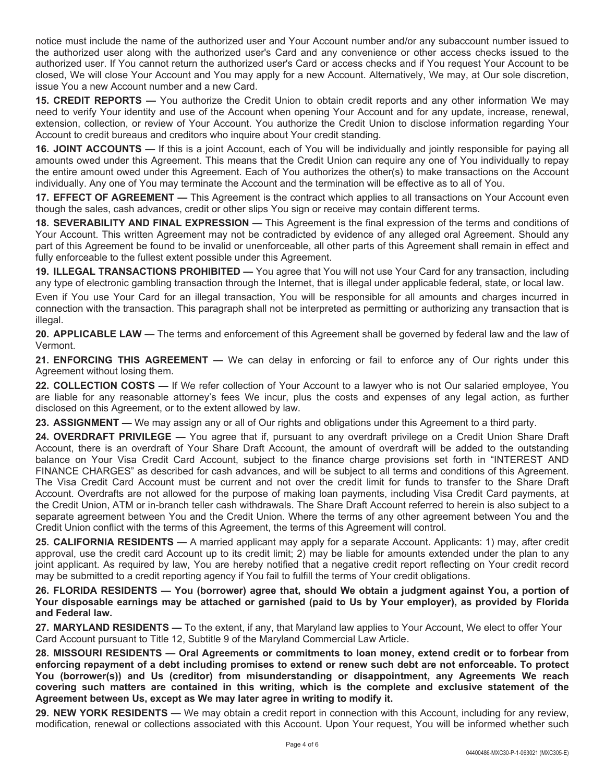notice must include the name of the authorized user and Your Account number and/or any subaccount number issued to the authorized user along with the authorized user's Card and any convenience or other access checks issued to the authorized user. If You cannot return the authorized user's Card or access checks and if You request Your Account to be closed, We will close Your Account and You may apply for a new Account. Alternatively, We may, at Our sole discretion, issue You a new Account number and a new Card.

**15. CREDIT REPORTS —** You authorize the Credit Union to obtain credit reports and any other information We may need to verify Your identity and use of the Account when opening Your Account and for any update, increase, renewal, extension, collection, or review of Your Account. You authorize the Credit Union to disclose information regarding Your Account to credit bureaus and creditors who inquire about Your credit standing.

**16. JOINT ACCOUNTS —** If this is a joint Account, each of You will be individually and jointly responsible for paying all amounts owed under this Agreement. This means that the Credit Union can require any one of You individually to repay the entire amount owed under this Agreement. Each of You authorizes the other(s) to make transactions on the Account individually. Any one of You may terminate the Account and the termination will be effective as to all of You.

**17. EFFECT OF AGREEMENT —** This Agreement is the contract which applies to all transactions on Your Account even though the sales, cash advances, credit or other slips You sign or receive may contain different terms.

**18. SEVERABILITY AND FINAL EXPRESSION —** This Agreement is the final expression of the terms and conditions of Your Account. This written Agreement may not be contradicted by evidence of any alleged oral Agreement. Should any part of this Agreement be found to be invalid or unenforceable, all other parts of this Agreement shall remain in effect and fully enforceable to the fullest extent possible under this Agreement.

**19. ILLEGAL TRANSACTIONS PROHIBITED —** You agree that You will not use Your Card for any transaction, including any type of electronic gambling transaction through the Internet, that is illegal under applicable federal, state, or local law.

Even if You use Your Card for an illegal transaction, You will be responsible for all amounts and charges incurred in connection with the transaction. This paragraph shall not be interpreted as permitting or authorizing any transaction that is illegal.

**20. APPLICABLE LAW —** The terms and enforcement of this Agreement shall be governed by federal law and the law of Vermont.

**21. ENFORCING THIS AGREEMENT —** We can delay in enforcing or fail to enforce any of Our rights under this Agreement without losing them.

**22. COLLECTION COSTS —** If We refer collection of Your Account to a lawyer who is not Our salaried employee, You are liable for any reasonable attorney's fees We incur, plus the costs and expenses of any legal action, as further disclosed on this Agreement, or to the extent allowed by law.

**23. ASSIGNMENT —** We may assign any or all of Our rights and obligations under this Agreement to a third party.

**24. OVERDRAFT PRIVILEGE —** You agree that if, pursuant to any overdraft privilege on a Credit Union Share Draft Account, there is an overdraft of Your Share Draft Account, the amount of overdraft will be added to the outstanding balance on Your Visa Credit Card Account, subject to the finance charge provisions set forth in "INTEREST AND FINANCE CHARGES" as described for cash advances, and will be subject to all terms and conditions of this Agreement. The Visa Credit Card Account must be current and not over the credit limit for funds to transfer to the Share Draft Account. Overdrafts are not allowed for the purpose of making loan payments, including Visa Credit Card payments, at the Credit Union, ATM or in-branch teller cash withdrawals. The Share Draft Account referred to herein is also subject to a separate agreement between You and the Credit Union. Where the terms of any other agreement between You and the Credit Union conflict with the terms of this Agreement, the terms of this Agreement will control.

**25. CALIFORNIA RESIDENTS —** A married applicant may apply for a separate Account. Applicants: 1) may, after credit approval, use the credit card Account up to its credit limit; 2) may be liable for amounts extended under the plan to any joint applicant. As required by law, You are hereby notified that a negative credit report reflecting on Your credit record may be submitted to a credit reporting agency if You fail to fulfill the terms of Your credit obligations.

**26. FLORIDA RESIDENTS — You (borrower) agree that, should We obtain a judgment against You, a portion of Your disposable earnings may be attached or garnished (paid to Us by Your employer), as provided by Florida and Federal law.**

**27. MARYLAND RESIDENTS —** To the extent, if any, that Maryland law applies to Your Account, We elect to offer Your Card Account pursuant to Title 12, Subtitle 9 of the Maryland Commercial Law Article.

**28. MISSOURI RESIDENTS — Oral Agreements or commitments to loan money, extend credit or to forbear from enforcing repayment of a debt including promises to extend or renew such debt are not enforceable. To protect You (borrower(s)) and Us (creditor) from misunderstanding or disappointment, any Agreements We reach covering such matters are contained in this writing, which is the complete and exclusive statement of the Agreement between Us, except as We may later agree in writing to modify it.**

**29. NEW YORK RESIDENTS —** We may obtain a credit report in connection with this Account, including for any review, modification, renewal or collections associated with this Account. Upon Your request, You will be informed whether such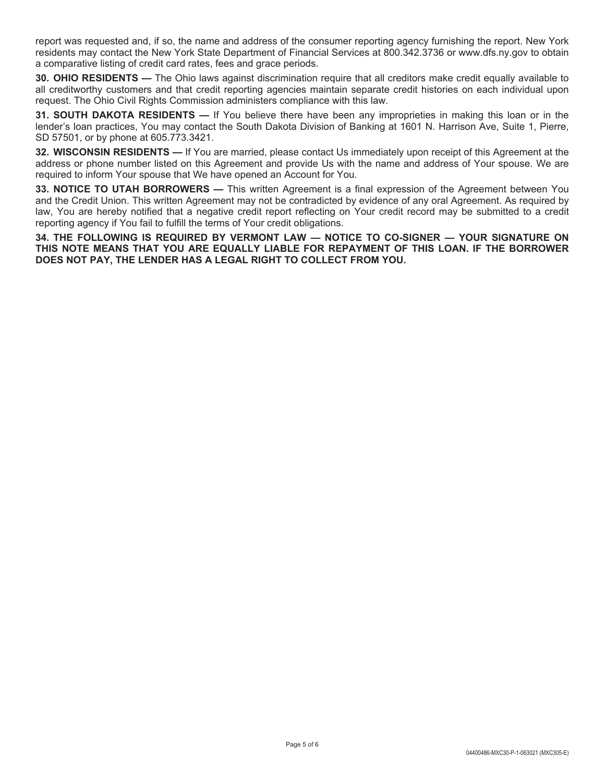report was requested and, if so, the name and address of the consumer reporting agency furnishing the report. New York residents may contact the New York State Department of Financial Services at 800.342.3736 or www.dfs.ny.gov to obtain a comparative listing of credit card rates, fees and grace periods.

**30. OHIO RESIDENTS —** The Ohio laws against discrimination require that all creditors make credit equally available to all creditworthy customers and that credit reporting agencies maintain separate credit histories on each individual upon request. The Ohio Civil Rights Commission administers compliance with this law.

**31. SOUTH DAKOTA RESIDENTS —** If You believe there have been any improprieties in making this loan or in the lender's loan practices, You may contact the South Dakota Division of Banking at 1601 N. Harrison Ave, Suite 1, Pierre, SD 57501, or by phone at 605.773.3421.

**32. WISCONSIN RESIDENTS —** If You are married, please contact Us immediately upon receipt of this Agreement at the address or phone number listed on this Agreement and provide Us with the name and address of Your spouse. We are required to inform Your spouse that We have opened an Account for You.

**33. NOTICE TO UTAH BORROWERS —** This written Agreement is a final expression of the Agreement between You and the Credit Union. This written Agreement may not be contradicted by evidence of any oral Agreement. As required by law, You are hereby notified that a negative credit report reflecting on Your credit record may be submitted to a credit reporting agency if You fail to fulfill the terms of Your credit obligations.

**34. THE FOLLOWING IS REQUIRED BY VERMONT LAW — NOTICE TO CO-SIGNER — YOUR SIGNATURE ON THIS NOTE MEANS THAT YOU ARE EQUALLY LIABLE FOR REPAYMENT OF THIS LOAN. IF THE BORROWER DOES NOT PAY, THE LENDER HAS A LEGAL RIGHT TO COLLECT FROM YOU.**